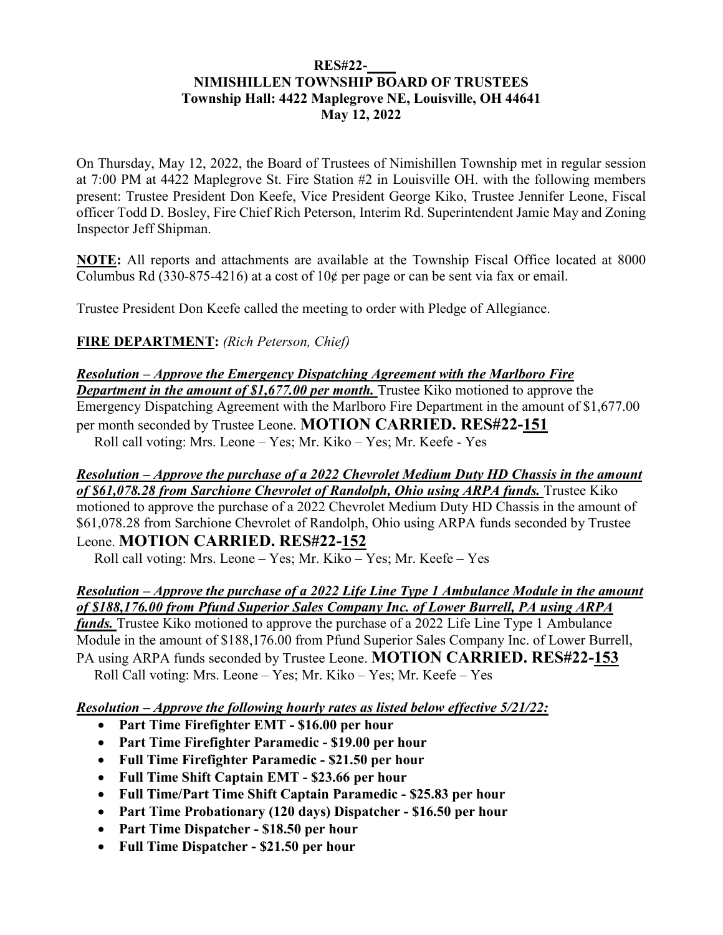### **RES#22-\_\_\_\_ NIMISHILLEN TOWNSHIP BOARD OF TRUSTEES Township Hall: 4422 Maplegrove NE, Louisville, OH 44641 May 12, 2022**

On Thursday, May 12, 2022, the Board of Trustees of Nimishillen Township met in regular session at 7:00 PM at 4422 Maplegrove St. Fire Station #2 in Louisville OH. with the following members present: Trustee President Don Keefe, Vice President George Kiko, Trustee Jennifer Leone, Fiscal officer Todd D. Bosley, Fire Chief Rich Peterson, Interim Rd. Superintendent Jamie May and Zoning Inspector Jeff Shipman.

**NOTE:** All reports and attachments are available at the Township Fiscal Office located at 8000 Columbus Rd (330-875-4216) at a cost of  $10¢$  per page or can be sent via fax or email.

Trustee President Don Keefe called the meeting to order with Pledge of Allegiance.

## **FIRE DEPARTMENT:** *(Rich Peterson, Chief)*

## *Resolution – Approve the Emergency Dispatching Agreement with the Marlboro Fire Department in the amount of \$1,677.00 per month.* Trustee Kiko motioned to approve the Emergency Dispatching Agreement with the Marlboro Fire Department in the amount of \$1,677.00 per month seconded by Trustee Leone. **MOTION CARRIED. RES#22-151** Roll call voting: Mrs. Leone – Yes; Mr. Kiko – Yes; Mr. Keefe - Yes

#### *Resolution – Approve the purchase of a 2022 Chevrolet Medium Duty HD Chassis in the amount*  of \$61,078.28 from Sarchione Chevrolet of Randolph, Ohio using ARPA funds. Trustee Kiko

motioned to approve the purchase of a 2022 Chevrolet Medium Duty HD Chassis in the amount of \$61,078.28 from Sarchione Chevrolet of Randolph, Ohio using ARPA funds seconded by Trustee Leone. **MOTION CARRIED. RES#22-152**

Roll call voting: Mrs. Leone – Yes; Mr. Kiko – Yes; Mr. Keefe – Yes

## *Resolution – Approve the purchase of a 2022 Life Line Type 1 Ambulance Module in the amount of \$188,176.00 from Pfund Superior Sales Company Inc. of Lower Burrell, PA using ARPA*

*funds*. Trustee Kiko motioned to approve the purchase of a 2022 Life Line Type 1 Ambulance Module in the amount of \$188,176.00 from Pfund Superior Sales Company Inc. of Lower Burrell, PA using ARPA funds seconded by Trustee Leone. **MOTION CARRIED. RES#22-153** Roll Call voting: Mrs. Leone – Yes; Mr. Kiko – Yes; Mr. Keefe – Yes

*Resolution – Approve the following hourly rates as listed below effective 5/21/22:* 

- **Part Time Firefighter EMT \$16.00 per hour**
- **Part Time Firefighter Paramedic \$19.00 per hour**
- **Full Time Firefighter Paramedic \$21.50 per hour**
- **Full Time Shift Captain EMT \$23.66 per hour**
- **Full Time/Part Time Shift Captain Paramedic \$25.83 per hour**
- **Part Time Probationary (120 days) Dispatcher \$16.50 per hour**
- **Part Time Dispatcher \$18.50 per hour**
- **Full Time Dispatcher \$21.50 per hour**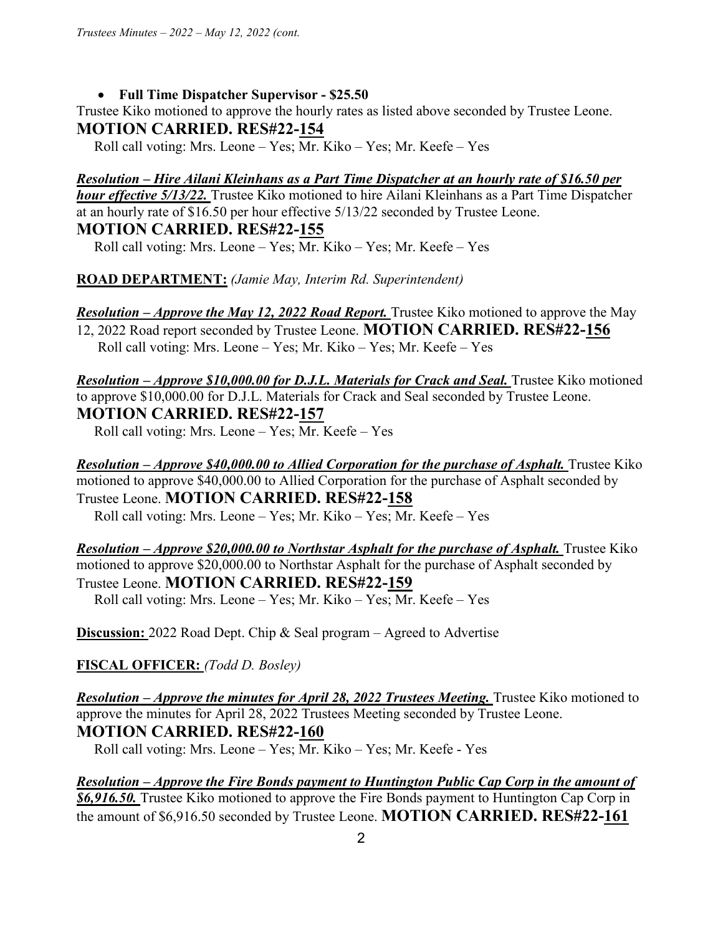• **Full Time Dispatcher Supervisor - \$25.50** 

Trustee Kiko motioned to approve the hourly rates as listed above seconded by Trustee Leone. **MOTION CARRIED. RES#22-154**

Roll call voting: Mrs. Leone – Yes; Mr. Kiko – Yes; Mr. Keefe – Yes

*Resolution – Hire Ailani Kleinhans as a Part Time Dispatcher at an hourly rate of \$16.50 per hour effective 5/13/22.* Trustee Kiko motioned to hire Ailani Kleinhans as a Part Time Dispatcher at an hourly rate of \$16.50 per hour effective 5/13/22 seconded by Trustee Leone.

## **MOTION CARRIED. RES#22-155**

Roll call voting: Mrs. Leone – Yes; Mr. Kiko – Yes; Mr. Keefe – Yes

**ROAD DEPARTMENT:** *(Jamie May, Interim Rd. Superintendent)*

*Resolution – Approve the May 12, 2022 Road Report.* Trustee Kiko motioned to approve the May

12, 2022 Road report seconded by Trustee Leone. **MOTION CARRIED. RES#22-156** Roll call voting: Mrs. Leone – Yes; Mr. Kiko – Yes; Mr. Keefe – Yes

*Resolution – Approve \$10,000.00 for D.J.L. Materials for Crack and Seal. Trustee Kiko motioned* to approve \$10,000.00 for D.J.L. Materials for Crack and Seal seconded by Trustee Leone. **MOTION CARRIED. RES#22-157**

Roll call voting: Mrs. Leone – Yes; Mr. Keefe – Yes

*Resolution – Approve \$40,000.00 to Allied Corporation for the purchase of Asphalt.* Trustee Kiko motioned to approve \$40,000.00 to Allied Corporation for the purchase of Asphalt seconded by Trustee Leone. **MOTION CARRIED. RES#22-158** Roll call voting: Mrs. Leone – Yes; Mr. Kiko – Yes; Mr. Keefe – Yes

*Resolution – Approve \$20,000.00 to Northstar Asphalt for the purchase of Asphalt.* **Trustee Kiko** motioned to approve \$20,000.00 to Northstar Asphalt for the purchase of Asphalt seconded by Trustee Leone. **MOTION CARRIED. RES#22-159**  Roll call voting: Mrs. Leone – Yes; Mr. Kiko – Yes; Mr. Keefe – Yes

**Discussion:** 2022 Road Dept. Chip & Seal program – Agreed to Advertise

**FISCAL OFFICER:** *(Todd D. Bosley)* 

*Resolution – Approve the minutes for April 28, 2022 Trustees Meeting. Trustee Kiko motioned to* approve the minutes for April 28, 2022 Trustees Meeting seconded by Trustee Leone. **MOTION CARRIED. RES#22-160**

Roll call voting: Mrs. Leone – Yes; Mr. Kiko – Yes; Mr. Keefe - Yes

*Resolution – Approve the Fire Bonds payment to Huntington Public Cap Corp in the amount of \$6,916.50.* Trustee Kiko motioned to approve the Fire Bonds payment to Huntington Cap Corp in the amount of \$6,916.50 seconded by Trustee Leone. **MOTION CARRIED. RES#22-161**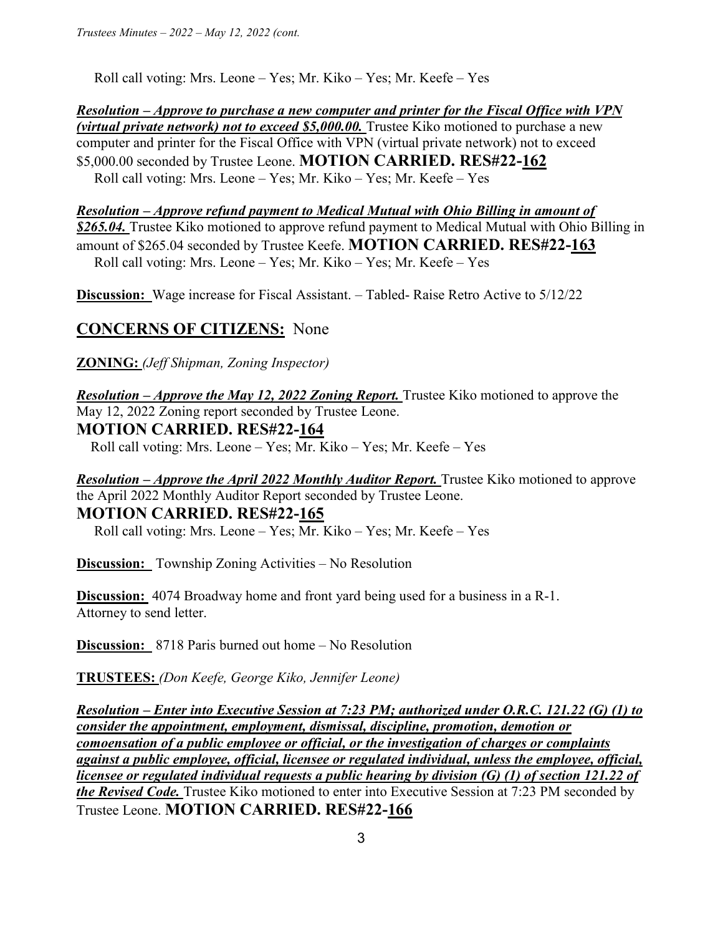Roll call voting: Mrs. Leone – Yes; Mr. Kiko – Yes; Mr. Keefe – Yes

*Resolution – Approve to purchase a new computer and printer for the Fiscal Office with VPN (virtual private network) not to exceed \$5,000.00.* Trustee Kiko motioned to purchase a new computer and printer for the Fiscal Office with VPN (virtual private network) not to exceed \$5,000.00 seconded by Trustee Leone. **MOTION CARRIED. RES#22-162** Roll call voting: Mrs. Leone – Yes; Mr. Kiko – Yes; Mr. Keefe – Yes

*Resolution – Approve refund payment to Medical Mutual with Ohio Billing in amount of \$265.04.* Trustee Kiko motioned to approve refund payment to Medical Mutual with Ohio Billing in amount of \$265.04 seconded by Trustee Keefe. **MOTION CARRIED. RES#22-163**  Roll call voting: Mrs. Leone – Yes; Mr. Kiko – Yes; Mr. Keefe – Yes

**Discussion:** Wage increase for Fiscal Assistant. – Tabled- Raise Retro Active to 5/12/22

# **CONCERNS OF CITIZENS:** None

**ZONING:** *(Jeff Shipman, Zoning Inspector)* 

*Resolution – Approve the May 12, 2022 Zoning Report.* Trustee Kiko motioned to approve the May 12, 2022 Zoning report seconded by Trustee Leone.

### **MOTION CARRIED. RES#22-164**

Roll call voting: Mrs. Leone – Yes; Mr. Kiko – Yes; Mr. Keefe – Yes

*Resolution – Approve the April 2022 Monthly Auditor Report.* Trustee Kiko motioned to approve the April 2022 Monthly Auditor Report seconded by Trustee Leone. **MOTION CARRIED. RES#22-165**

Roll call voting: Mrs. Leone – Yes; Mr. Kiko – Yes; Mr. Keefe – Yes

**Discussion:** Township Zoning Activities – No Resolution

**Discussion:** 4074 Broadway home and front yard being used for a business in a R-1. Attorney to send letter.

**Discussion:** 8718 Paris burned out home – No Resolution

**TRUSTEES:** *(Don Keefe, George Kiko, Jennifer Leone)* 

*Resolution – Enter into Executive Session at 7:23 PM; authorized under O.R.C. 121.22 (G) (1) to consider the appointment, employment, dismissal, discipline, promotion, demotion or comoensation of a public employee or official, or the investigation of charges or complaints against a public employee, official, licensee or regulated individual, unless the employee, official, licensee or regulated individual requests a public hearing by division (G) (1) of section 121.22 of the Revised Code.* Trustee Kiko motioned to enter into Executive Session at 7:23 PM seconded by Trustee Leone. **MOTION CARRIED. RES#22-166**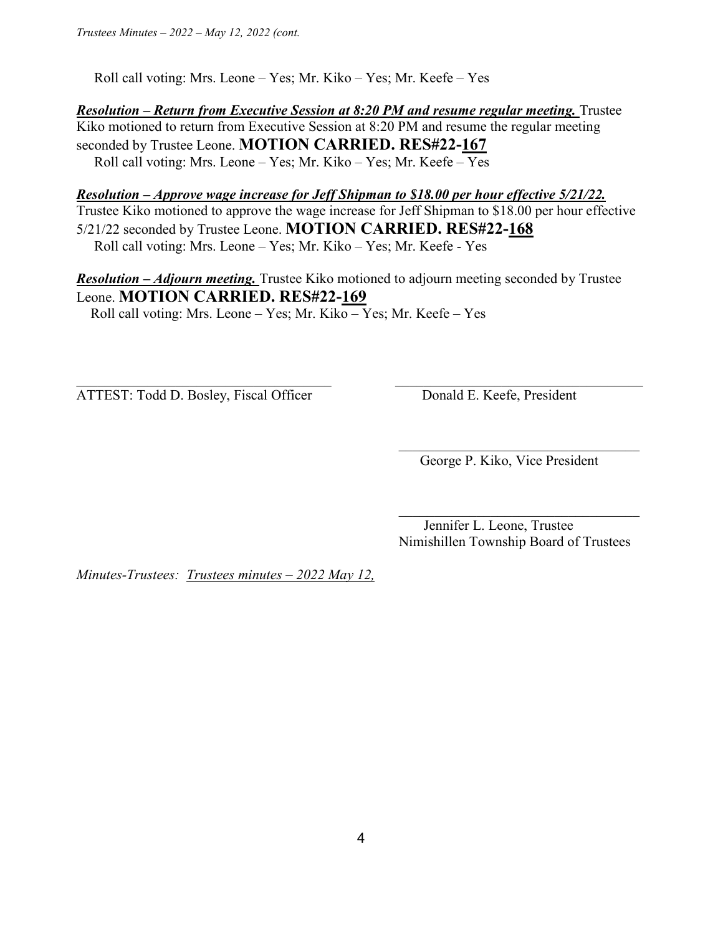Roll call voting: Mrs. Leone – Yes; Mr. Kiko – Yes; Mr. Keefe – Yes

*Resolution – Return from Executive Session at 8:20 PM and resume regular meeting.* Trustee Kiko motioned to return from Executive Session at 8:20 PM and resume the regular meeting seconded by Trustee Leone. **MOTION CARRIED. RES#22-167**  Roll call voting: Mrs. Leone – Yes; Mr. Kiko – Yes; Mr. Keefe – Yes

*Resolution – Approve wage increase for Jeff Shipman to \$18.00 per hour effective 5/21/22.*  Trustee Kiko motioned to approve the wage increase for Jeff Shipman to \$18.00 per hour effective 5/21/22 seconded by Trustee Leone. **MOTION CARRIED. RES#22-168**  Roll call voting: Mrs. Leone – Yes; Mr. Kiko – Yes; Mr. Keefe - Yes

*Resolution – Adjourn meeting.* Trustee Kiko motioned to adjourn meeting seconded by Trustee Leone. **MOTION CARRIED. RES#22-169**

 $\_$  , and the set of the set of the set of the set of the set of the set of the set of the set of the set of the set of the set of the set of the set of the set of the set of the set of the set of the set of the set of th

 $\mathcal{L}_\text{max}$  and  $\mathcal{L}_\text{max}$  and  $\mathcal{L}_\text{max}$  and  $\mathcal{L}_\text{max}$  and  $\mathcal{L}_\text{max}$  and  $\mathcal{L}_\text{max}$ 

 $\mathcal{L}_\text{max}$  and  $\mathcal{L}_\text{max}$  and  $\mathcal{L}_\text{max}$  and  $\mathcal{L}_\text{max}$  and  $\mathcal{L}_\text{max}$  and  $\mathcal{L}_\text{max}$ 

Roll call voting: Mrs. Leone – Yes; Mr. Kiko – Yes; Mr. Keefe – Yes

ATTEST: Todd D. Bosley, Fiscal Officer Donald E. Keefe, President

George P. Kiko, Vice President

 Jennifer L. Leone, Trustee Nimishillen Township Board of Trustees

*Minutes-Trustees: Trustees minutes – 2022 May 12,*